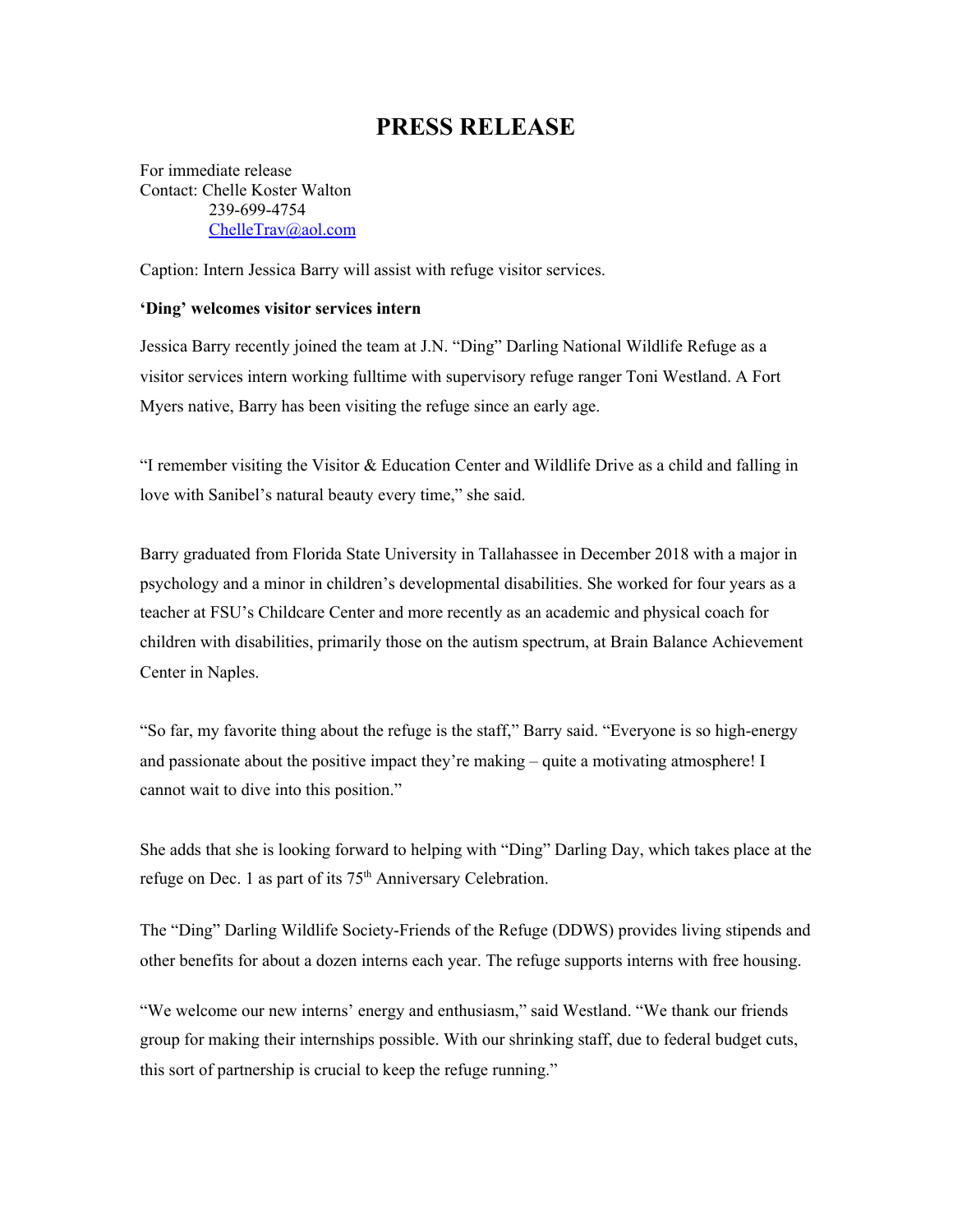## **PRESS RELEASE**

For immediate release Contact: Chelle Koster Walton 239-699-4754 [ChelleTrav@aol.com](mailto:ChelleTrav@aol.com)

Caption: Intern Jessica Barry will assist with refuge visitor services.

## **'Ding' welcomes visitor services intern**

Jessica Barry recently joined the team at J.N. "Ding" Darling National Wildlife Refuge as a visitor services intern working fulltime with supervisory refuge ranger Toni Westland. A Fort Myers native, Barry has been visiting the refuge since an early age.

"I remember visiting the Visitor & Education Center and Wildlife Drive as a child and falling in love with Sanibel's natural beauty every time," she said.

Barry graduated from Florida State University in Tallahassee in December 2018 with a major in psychology and a minor in children's developmental disabilities. She worked for four years as a teacher at FSU's Childcare Center and more recently as an academic and physical coach for children with disabilities, primarily those on the autism spectrum, at Brain Balance Achievement Center in Naples.

"So far, my favorite thing about the refuge is the staff," Barry said. "Everyone is so high-energy and passionate about the positive impact they're making – quite a motivating atmosphere! I cannot wait to dive into this position."

She adds that she is looking forward to helping with "Ding" Darling Day, which takes place at the refuge on Dec. 1 as part of its  $75<sup>th</sup>$  Anniversary Celebration.

The "Ding" Darling Wildlife Society-Friends of the Refuge (DDWS) provides living stipends and other benefits for about a dozen interns each year. The refuge supports interns with free housing.

"We welcome our new interns' energy and enthusiasm," said Westland. "We thank our friends group for making their internships possible. With our shrinking staff, due to federal budget cuts, this sort of partnership is crucial to keep the refuge running."